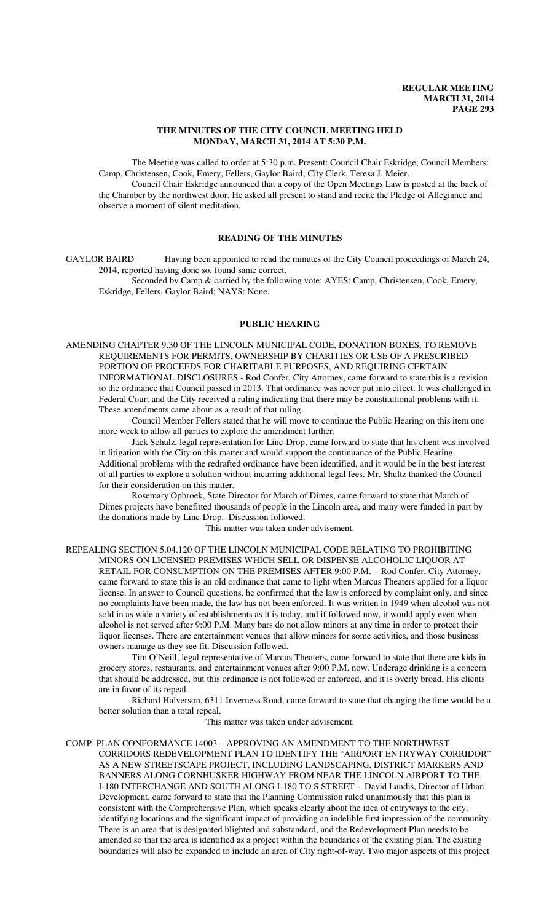#### **THE MINUTES OF THE CITY COUNCIL MEETING HELD MONDAY, MARCH 31, 2014 AT 5:30 P.M.**

The Meeting was called to order at 5:30 p.m. Present: Council Chair Eskridge; Council Members: Camp, Christensen, Cook, Emery, Fellers, Gaylor Baird; City Clerk, Teresa J. Meier.

Council Chair Eskridge announced that a copy of the Open Meetings Law is posted at the back of the Chamber by the northwest door. He asked all present to stand and recite the Pledge of Allegiance and observe a moment of silent meditation.

## **READING OF THE MINUTES**

GAYLOR BAIRD Having been appointed to read the minutes of the City Council proceedings of March 24, 2014, reported having done so, found same correct.

Seconded by Camp & carried by the following vote: AYES: Camp, Christensen, Cook, Emery, Eskridge, Fellers, Gaylor Baird; NAYS: None.

## **PUBLIC HEARING**

AMENDING CHAPTER 9.30 OF THE LINCOLN MUNICIPAL CODE, DONATION BOXES, TO REMOVE REQUIREMENTS FOR PERMITS, OWNERSHIP BY CHARITIES OR USE OF A PRESCRIBED PORTION OF PROCEEDS FOR CHARITABLE PURPOSES, AND REQUIRING CERTAIN INFORMATIONAL DISCLOSURES - Rod Confer, City Attorney, came forward to state this is a revision to the ordinance that Council passed in 2013. That ordinance was never put into effect. It was challenged in Federal Court and the City received a ruling indicating that there may be constitutional problems with it. These amendments came about as a result of that ruling.

Council Member Fellers stated that he will move to continue the Public Hearing on this item one more week to allow all parties to explore the amendment further.

Jack Schulz, legal representation for Linc-Drop, came forward to state that his client was involved in litigation with the City on this matter and would support the continuance of the Public Hearing. Additional problems with the redrafted ordinance have been identified, and it would be in the best interest of all parties to explore a solution without incurring additional legal fees. Mr. Shultz thanked the Council for their consideration on this matter.

Rosemary Opbroek, State Director for March of Dimes, came forward to state that March of Dimes projects have benefitted thousands of people in the Lincoln area, and many were funded in part by the donations made by Linc-Drop. Discussion followed.

This matter was taken under advisement.

REPEALING SECTION 5.04.120 OF THE LINCOLN MUNICIPAL CODE RELATING TO PROHIBITING MINORS ON LICENSED PREMISES WHICH SELL OR DISPENSE ALCOHOLIC LIQUOR AT RETAIL FOR CONSUMPTION ON THE PREMISES AFTER 9:00 P.M. - Rod Confer, City Attorney, came forward to state this is an old ordinance that came to light when Marcus Theaters applied for a liquor license. In answer to Council questions, he confirmed that the law is enforced by complaint only, and since no complaints have been made, the law has not been enforced. It was written in 1949 when alcohol was not sold in as wide a variety of establishments as it is today, and if followed now, it would apply even when alcohol is not served after 9:00 P.M. Many bars do not allow minors at any time in order to protect their liquor licenses. There are entertainment venues that allow minors for some activities, and those business owners manage as they see fit. Discussion followed.

Tim O'Neill, legal representative of Marcus Theaters, came forward to state that there are kids in grocery stores, restaurants, and entertainment venues after 9:00 P.M. now. Underage drinking is a concern that should be addressed, but this ordinance is not followed or enforced, and it is overly broad. His clients are in favor of its repeal.

Richard Halverson, 6311 Inverness Road, came forward to state that changing the time would be a better solution than a total repeal.

This matter was taken under advisement.

COMP. PLAN CONFORMANCE 14003 – APPROVING AN AMENDMENT TO THE NORTHWEST CORRIDORS REDEVELOPMENT PLAN TO IDENTIFY THE "AIRPORT ENTRYWAY CORRIDOR" AS A NEW STREETSCAPE PROJECT, INCLUDING LANDSCAPING, DISTRICT MARKERS AND BANNERS ALONG CORNHUSKER HIGHWAY FROM NEAR THE LINCOLN AIRPORT TO THE I-180 INTERCHANGE AND SOUTH ALONG I-180 TO S STREET - David Landis, Director of Urban Development, came forward to state that the Planning Commission ruled unanimously that this plan is consistent with the Comprehensive Plan, which speaks clearly about the idea of entryways to the city, identifying locations and the significant impact of providing an indelible first impression of the community. There is an area that is designated blighted and substandard, and the Redevelopment Plan needs to be amended so that the area is identified as a project within the boundaries of the existing plan. The existing boundaries will also be expanded to include an area of City right-of-way. Two major aspects of this project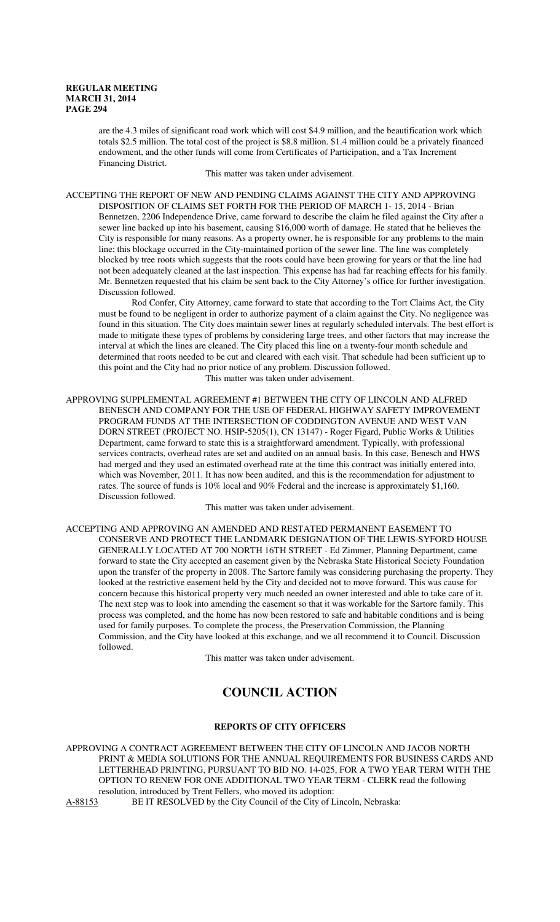are the 4.3 miles of significant road work which will cost \$4.9 million, and the beautification work which totals \$2.5 million. The total cost of the project is \$8.8 million. \$1.4 million could be a privately financed endowment, and the other funds will come from Certificates of Participation, and a Tax Increment Financing District.

This matter was taken under advisement.

ACCEPTING THE REPORT OF NEW AND PENDING CLAIMS AGAINST THE CITY AND APPROVING DISPOSITION OF CLAIMS SET FORTH FOR THE PERIOD OF MARCH 1- 15, 2014 - Brian Bennetzen, 2206 Independence Drive, came forward to describe the claim he filed against the City after a sewer line backed up into his basement, causing \$16,000 worth of damage. He stated that he believes the City is responsible for many reasons. As a property owner, he is responsible for any problems to the main line; this blockage occurred in the City-maintained portion of the sewer line. The line was completely blocked by tree roots which suggests that the roots could have been growing for years or that the line had not been adequately cleaned at the last inspection. This expense has had far reaching effects for his family. Mr. Bennetzen requested that his claim be sent back to the City Attorney's office for further investigation. Discussion followed.

Rod Confer, City Attorney, came forward to state that according to the Tort Claims Act, the City must be found to be negligent in order to authorize payment of a claim against the City. No negligence was found in this situation. The City does maintain sewer lines at regularly scheduled intervals. The best effort is made to mitigate these types of problems by considering large trees, and other factors that may increase the interval at which the lines are cleaned. The City placed this line on a twenty-four month schedule and determined that roots needed to be cut and cleared with each visit. That schedule had been sufficient up to this point and the City had no prior notice of any problem. Discussion followed. This matter was taken under advisement.

APPROVING SUPPLEMENTAL AGREEMENT #1 BETWEEN THE CITY OF LINCOLN AND ALFRED BENESCH AND COMPANY FOR THE USE OF FEDERAL HIGHWAY SAFETY IMPROVEMENT PROGRAM FUNDS AT THE INTERSECTION OF CODDINGTON AVENUE AND WEST VAN DORN STREET (PROJECT NO. HSIP-5205(1), CN 13147) - Roger Figard, Public Works & Utilities Department, came forward to state this is a straightforward amendment. Typically, with professional services contracts, overhead rates are set and audited on an annual basis. In this case, Benesch and HWS had merged and they used an estimated overhead rate at the time this contract was initially entered into, which was November, 2011. It has now been audited, and this is the recommendation for adjustment to rates. The source of funds is 10% local and 90% Federal and the increase is approximately \$1,160. Discussion followed.

This matter was taken under advisement.

ACCEPTING AND APPROVING AN AMENDED AND RESTATED PERMANENT EASEMENT TO CONSERVE AND PROTECT THE LANDMARK DESIGNATION OF THE LEWIS-SYFORD HOUSE GENERALLY LOCATED AT 700 NORTH 16TH STREET - Ed Zimmer, Planning Department, came forward to state the City accepted an easement given by the Nebraska State Historical Society Foundation upon the transfer of the property in 2008. The Sartore family was considering purchasing the property. They looked at the restrictive easement held by the City and decided not to move forward. This was cause for concern because this historical property very much needed an owner interested and able to take care of it. The next step was to look into amending the easement so that it was workable for the Sartore family. This process was completed, and the home has now been restored to safe and habitable conditions and is being used for family purposes. To complete the process, the Preservation Commission, the Planning Commission, and the City have looked at this exchange, and we all recommend it to Council. Discussion followed.

This matter was taken under advisement.

# **COUNCIL ACTION**

## **REPORTS OF CITY OFFICERS**

APPROVING A CONTRACT AGREEMENT BETWEEN THE CITY OF LINCOLN AND JACOB NORTH PRINT & MEDIA SOLUTIONS FOR THE ANNUAL REQUIREMENTS FOR BUSINESS CARDS AND LETTERHEAD PRINTING, PURSUANT TO BID NO. 14-025, FOR A TWO YEAR TERM WITH THE OPTION TO RENEW FOR ONE ADDITIONAL TWO YEAR TERM - CLERK read the following resolution, introduced by Trent Fellers, who moved its adoption:

A-88153 BE IT RESOLVED by the City Council of the City of Lincoln, Nebraska: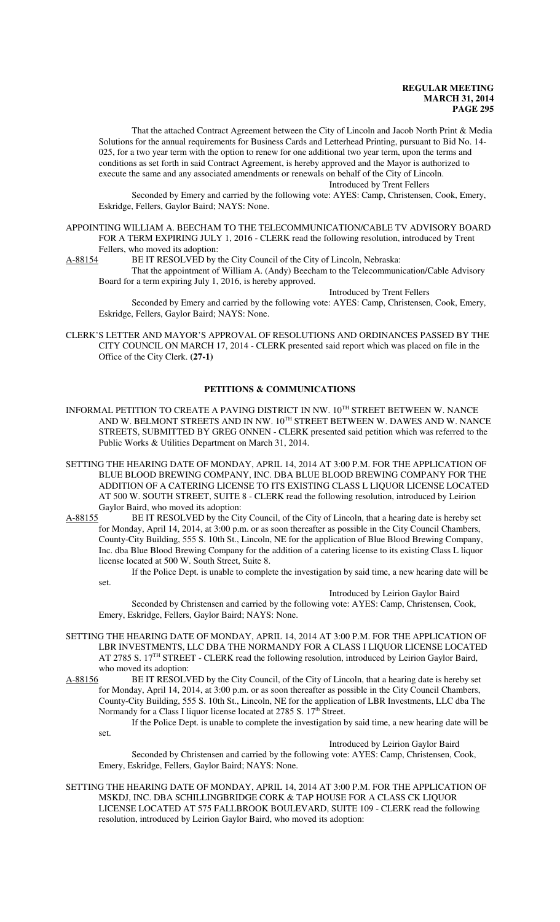That the attached Contract Agreement between the City of Lincoln and Jacob North Print & Media Solutions for the annual requirements for Business Cards and Letterhead Printing, pursuant to Bid No. 14- 025, for a two year term with the option to renew for one additional two year term, upon the terms and conditions as set forth in said Contract Agreement, is hereby approved and the Mayor is authorized to execute the same and any associated amendments or renewals on behalf of the City of Lincoln. Introduced by Trent Fellers

Seconded by Emery and carried by the following vote: AYES: Camp, Christensen, Cook, Emery, Eskridge, Fellers, Gaylor Baird; NAYS: None.

APPOINTING WILLIAM A. BEECHAM TO THE TELECOMMUNICATION/CABLE TV ADVISORY BOARD FOR A TERM EXPIRING JULY 1, 2016 - CLERK read the following resolution, introduced by Trent

Fellers, who moved its adoption:<br>A-88154 BE IT RESOLVED by t BE IT RESOLVED by the City Council of the City of Lincoln, Nebraska:

That the appointment of William A. (Andy) Beecham to the Telecommunication/Cable Advisory Board for a term expiring July 1, 2016, is hereby approved.

Introduced by Trent Fellers

Seconded by Emery and carried by the following vote: AYES: Camp, Christensen, Cook, Emery, Eskridge, Fellers, Gaylor Baird; NAYS: None.

CLERK'S LETTER AND MAYOR'S APPROVAL OF RESOLUTIONS AND ORDINANCES PASSED BY THE CITY COUNCIL ON MARCH 17, 2014 - CLERK presented said report which was placed on file in the Office of the City Clerk. **(27-1)**

## **PETITIONS & COMMUNICATIONS**

- INFORMAL PETITION TO CREATE A PAVING DISTRICT IN NW.  $10^{\mathrm{TH}}$  STREET BETWEEN W. NANCE AND W. BELMONT STREETS AND IN NW.  $10^{TH}$  STREET BETWEEN W. DAWES AND W. NANCE STREETS, SUBMITTED BY GREG ONNEN - CLERK presented said petition which was referred to the Public Works & Utilities Department on March 31, 2014.
- SETTING THE HEARING DATE OF MONDAY, APRIL 14, 2014 AT 3:00 P.M. FOR THE APPLICATION OF BLUE BLOOD BREWING COMPANY, INC. DBA BLUE BLOOD BREWING COMPANY FOR THE ADDITION OF A CATERING LICENSE TO ITS EXISTING CLASS L LIQUOR LICENSE LOCATED AT 500 W. SOUTH STREET, SUITE 8 - CLERK read the following resolution, introduced by Leirion Gaylor Baird, who moved its adoption:
- A-88155 BE IT RESOLVED by the City Council, of the City of Lincoln, that a hearing date is hereby set for Monday, April 14, 2014, at 3:00 p.m. or as soon thereafter as possible in the City Council Chambers, County-City Building, 555 S. 10th St., Lincoln, NE for the application of Blue Blood Brewing Company, Inc. dba Blue Blood Brewing Company for the addition of a catering license to its existing Class L liquor license located at 500 W. South Street, Suite 8.

If the Police Dept. is unable to complete the investigation by said time, a new hearing date will be set.

#### Introduced by Leirion Gaylor Baird

Seconded by Christensen and carried by the following vote: AYES: Camp, Christensen, Cook, Emery, Eskridge, Fellers, Gaylor Baird; NAYS: None.

- SETTING THE HEARING DATE OF MONDAY, APRIL 14, 2014 AT 3:00 P.M. FOR THE APPLICATION OF LBR INVESTMENTS, LLC DBA THE NORMANDY FOR A CLASS I LIQUOR LICENSE LOCATED AT 2785 S. 17<sup>TH</sup> STREET - CLERK read the following resolution, introduced by Leirion Gaylor Baird, who moved its adoption:<br>A-88156 BE IT RESOLV
- BE IT RESOLVED by the City Council, of the City of Lincoln, that a hearing date is hereby set for Monday, April 14, 2014, at 3:00 p.m. or as soon thereafter as possible in the City Council Chambers, County-City Building, 555 S. 10th St., Lincoln, NE for the application of LBR Investments, LLC dba The Normandy for a Class I liquor license located at 2785 S. 17<sup>th</sup> Street.

If the Police Dept. is unable to complete the investigation by said time, a new hearing date will be set.

Introduced by Leirion Gaylor Baird Seconded by Christensen and carried by the following vote: AYES: Camp, Christensen, Cook, Emery, Eskridge, Fellers, Gaylor Baird; NAYS: None.

SETTING THE HEARING DATE OF MONDAY, APRIL 14, 2014 AT 3:00 P.M. FOR THE APPLICATION OF MSKDJ, INC. DBA SCHILLINGBRIDGE CORK & TAP HOUSE FOR A CLASS CK LIQUOR LICENSE LOCATED AT 575 FALLBROOK BOULEVARD, SUITE 109 - CLERK read the following resolution, introduced by Leirion Gaylor Baird, who moved its adoption: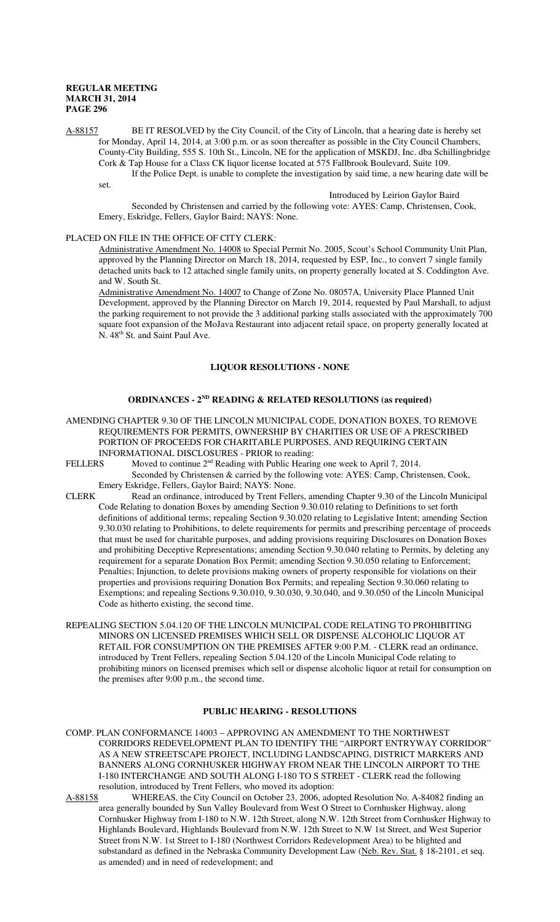A-88157 BE IT RESOLVED by the City Council, of the City of Lincoln, that a hearing date is hereby set for Monday, April 14, 2014, at 3:00 p.m. or as soon thereafter as possible in the City Council Chambers, County-City Building, 555 S. 10th St., Lincoln, NE for the application of MSKDJ, Inc. dba Schillingbridge Cork & Tap House for a Class CK liquor license located at 575 Fallbrook Boulevard, Suite 109. If the Police Dept. is unable to complete the investigation by said time, a new hearing date will be

set.

Introduced by Leirion Gaylor Baird

Seconded by Christensen and carried by the following vote: AYES: Camp, Christensen, Cook, Emery, Eskridge, Fellers, Gaylor Baird; NAYS: None.

#### PLACED ON FILE IN THE OFFICE OF CITY CLERK:

Administrative Amendment No. 14008 to Special Permit No. 2005, Scout's School Community Unit Plan, approved by the Planning Director on March 18, 2014, requested by ESP, Inc., to convert 7 single family detached units back to 12 attached single family units, on property generally located at S. Coddington Ave. and W. South St.

Administrative Amendment No. 14007 to Change of Zone No. 08057A, University Place Planned Unit Development, approved by the Planning Director on March 19, 2014, requested by Paul Marshall, to adjust the parking requirement to not provide the 3 additional parking stalls associated with the approximately 700 square foot expansion of the MoJava Restaurant into adjacent retail space, on property generally located at N. 48<sup>th</sup> St. and Saint Paul Ave.

### **LIQUOR RESOLUTIONS - NONE**

#### **ORDINANCES - 2ND READING & RELATED RESOLUTIONS (as required)**

AMENDING CHAPTER 9.30 OF THE LINCOLN MUNICIPAL CODE, DONATION BOXES, TO REMOVE REQUIREMENTS FOR PERMITS, OWNERSHIP BY CHARITIES OR USE OF A PRESCRIBED PORTION OF PROCEEDS FOR CHARITABLE PURPOSES, AND REQUIRING CERTAIN INFORMATIONAL DISCLOSURES - PRIOR to reading:<br>FELLERS Moved to continue 2<sup>nd</sup> Reading with Public Hearin

Moved to continue  $2<sup>nd</sup>$  Reading with Public Hearing one week to April 7, 2014.

Seconded by Christensen & carried by the following vote: AYES: Camp, Christensen, Cook, Emery Eskridge, Fellers, Gaylor Baird; NAYS: None.

- CLERK Read an ordinance, introduced by Trent Fellers, amending Chapter 9.30 of the Lincoln Municipal Code Relating to donation Boxes by amending Section 9.30.010 relating to Definitions to set forth definitions of additional terms; repealing Section 9.30.020 relating to Legislative Intent; amending Section 9.30.030 relating to Prohibitions, to delete requirements for permits and prescribing percentage of proceeds that must be used for charitable purposes, and adding provisions requiring Disclosures on Donation Boxes and prohibiting Deceptive Representations; amending Section 9.30.040 relating to Permits, by deleting any requirement for a separate Donation Box Permit; amending Section 9.30.050 relating to Enforcement; Penalties; Injunction, to delete provisions making owners of property responsible for violations on their properties and provisions requiring Donation Box Permits; and repealing Section 9.30.060 relating to Exemptions; and repealing Sections 9.30.010, 9.30.030, 9.30.040, and 9.30.050 of the Lincoln Municipal Code as hitherto existing, the second time.
- REPEALING SECTION 5.04.120 OF THE LINCOLN MUNICIPAL CODE RELATING TO PROHIBITING MINORS ON LICENSED PREMISES WHICH SELL OR DISPENSE ALCOHOLIC LIQUOR AT RETAIL FOR CONSUMPTION ON THE PREMISES AFTER 9:00 P.M. - CLERK read an ordinance, introduced by Trent Fellers, repealing Section 5.04.120 of the Lincoln Municipal Code relating to prohibiting minors on licensed premises which sell or dispense alcoholic liquor at retail for consumption on the premises after 9:00 p.m., the second time.

#### **PUBLIC HEARING - RESOLUTIONS**

- COMP. PLAN CONFORMANCE 14003 APPROVING AN AMENDMENT TO THE NORTHWEST CORRIDORS REDEVELOPMENT PLAN TO IDENTIFY THE "AIRPORT ENTRYWAY CORRIDOR" AS A NEW STREETSCAPE PROJECT, INCLUDING LANDSCAPING, DISTRICT MARKERS AND BANNERS ALONG CORNHUSKER HIGHWAY FROM NEAR THE LINCOLN AIRPORT TO THE I-180 INTERCHANGE AND SOUTH ALONG I-180 TO S STREET - CLERK read the following resolution, introduced by Trent Fellers, who moved its adoption:<br>A-88158 WHEREAS, the City Council on October 23, 2006, ado
- WHEREAS, the City Council on October 23, 2006, adopted Resolution No. A-84082 finding an area generally bounded by Sun Valley Boulevard from West O Street to Cornhusker Highway, along Cornhusker Highway from I-180 to N.W. 12th Street, along N.W. 12th Street from Cornhusker Highway to Highlands Boulevard, Highlands Boulevard from N.W. 12th Street to N.W 1st Street, and West Superior Street from N.W. 1st Street to I-180 (Northwest Corridors Redevelopment Area) to be blighted and substandard as defined in the Nebraska Community Development Law (Neb. Rev. Stat. § 18-2101, et seq. as amended) and in need of redevelopment; and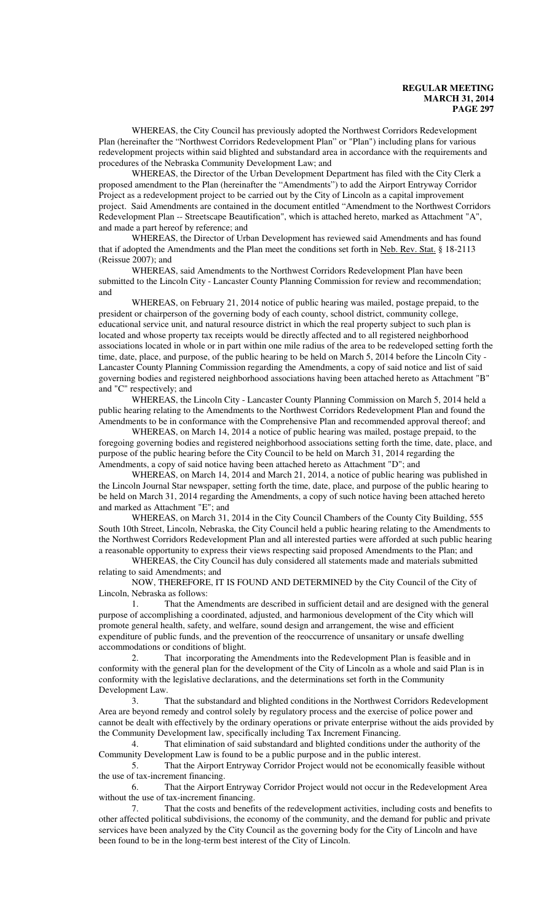WHEREAS, the City Council has previously adopted the Northwest Corridors Redevelopment Plan (hereinafter the "Northwest Corridors Redevelopment Plan" or "Plan") including plans for various redevelopment projects within said blighted and substandard area in accordance with the requirements and procedures of the Nebraska Community Development Law; and

WHEREAS, the Director of the Urban Development Department has filed with the City Clerk a proposed amendment to the Plan (hereinafter the "Amendments") to add the Airport Entryway Corridor Project as a redevelopment project to be carried out by the City of Lincoln as a capital improvement project. Said Amendments are contained in the document entitled "Amendment to the Northwest Corridors Redevelopment Plan -- Streetscape Beautification", which is attached hereto, marked as Attachment "A", and made a part hereof by reference; and

WHEREAS, the Director of Urban Development has reviewed said Amendments and has found that if adopted the Amendments and the Plan meet the conditions set forth in Neb. Rev. Stat. § 18-2113 (Reissue 2007); and

WHEREAS, said Amendments to the Northwest Corridors Redevelopment Plan have been submitted to the Lincoln City - Lancaster County Planning Commission for review and recommendation; and

WHEREAS, on February 21, 2014 notice of public hearing was mailed, postage prepaid, to the president or chairperson of the governing body of each county, school district, community college, educational service unit, and natural resource district in which the real property subject to such plan is located and whose property tax receipts would be directly affected and to all registered neighborhood associations located in whole or in part within one mile radius of the area to be redeveloped setting forth the time, date, place, and purpose, of the public hearing to be held on March 5, 2014 before the Lincoln City Lancaster County Planning Commission regarding the Amendments, a copy of said notice and list of said governing bodies and registered neighborhood associations having been attached hereto as Attachment "B" and "C" respectively; and

WHEREAS, the Lincoln City - Lancaster County Planning Commission on March 5, 2014 held a public hearing relating to the Amendments to the Northwest Corridors Redevelopment Plan and found the Amendments to be in conformance with the Comprehensive Plan and recommended approval thereof; and

WHEREAS, on March 14, 2014 a notice of public hearing was mailed, postage prepaid, to the foregoing governing bodies and registered neighborhood associations setting forth the time, date, place, and purpose of the public hearing before the City Council to be held on March 31, 2014 regarding the Amendments, a copy of said notice having been attached hereto as Attachment "D"; and

WHEREAS, on March 14, 2014 and March 21, 2014, a notice of public hearing was published in the Lincoln Journal Star newspaper, setting forth the time, date, place, and purpose of the public hearing to be held on March 31, 2014 regarding the Amendments, a copy of such notice having been attached hereto and marked as Attachment "E"; and

WHEREAS, on March 31, 2014 in the City Council Chambers of the County City Building, 555 South 10th Street, Lincoln, Nebraska, the City Council held a public hearing relating to the Amendments to the Northwest Corridors Redevelopment Plan and all interested parties were afforded at such public hearing a reasonable opportunity to express their views respecting said proposed Amendments to the Plan; and

WHEREAS, the City Council has duly considered all statements made and materials submitted relating to said Amendments; and

NOW, THEREFORE, IT IS FOUND AND DETERMINED by the City Council of the City of Lincoln, Nebraska as follows:<br>1. That the Am

1. That the Amendments are described in sufficient detail and are designed with the general purpose of accomplishing a coordinated, adjusted, and harmonious development of the City which will promote general health, safety, and welfare, sound design and arrangement, the wise and efficient expenditure of public funds, and the prevention of the reoccurrence of unsanitary or unsafe dwelling accommodations or conditions of blight.

That incorporating the Amendments into the Redevelopment Plan is feasible and in conformity with the general plan for the development of the City of Lincoln as a whole and said Plan is in conformity with the legislative declarations, and the determinations set forth in the Community Development Law.

3. That the substandard and blighted conditions in the Northwest Corridors Redevelopment Area are beyond remedy and control solely by regulatory process and the exercise of police power and cannot be dealt with effectively by the ordinary operations or private enterprise without the aids provided by the Community Development law, specifically including Tax Increment Financing.

4. That elimination of said substandard and blighted conditions under the authority of the Community Development Law is found to be a public purpose and in the public interest.

5. That the Airport Entryway Corridor Project would not be economically feasible without the use of tax-increment financing.

6. That the Airport Entryway Corridor Project would not occur in the Redevelopment Area without the use of tax-increment financing.

7. That the costs and benefits of the redevelopment activities, including costs and benefits to other affected political subdivisions, the economy of the community, and the demand for public and private services have been analyzed by the City Council as the governing body for the City of Lincoln and have been found to be in the long-term best interest of the City of Lincoln.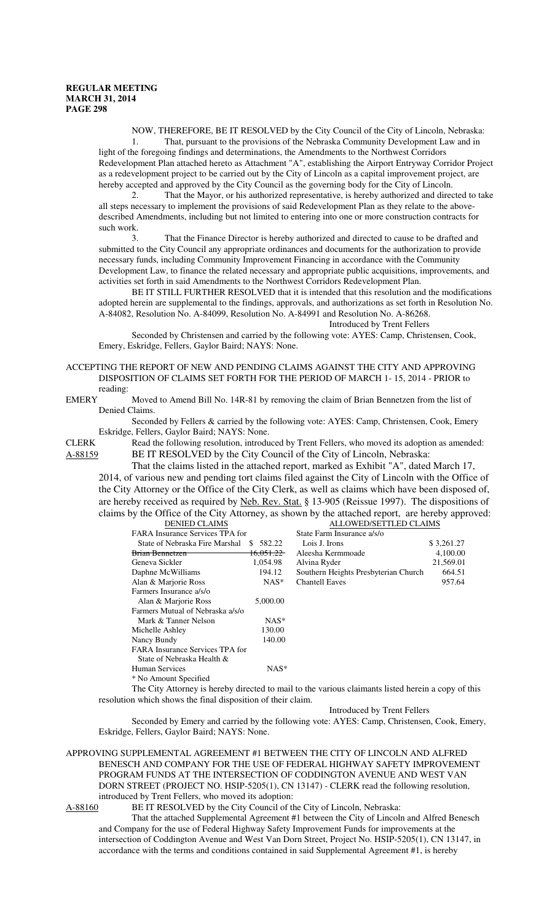NOW, THEREFORE, BE IT RESOLVED by the City Council of the City of Lincoln, Nebraska: 1. That, pursuant to the provisions of the Nebraska Community Development Law and in light of the foregoing findings and determinations, the Amendments to the Northwest Corridors Redevelopment Plan attached hereto as Attachment "A", establishing the Airport Entryway Corridor Project

as a redevelopment project to be carried out by the City of Lincoln as a capital improvement project, are hereby accepted and approved by the City Council as the governing body for the City of Lincoln. 2. That the Mayor, or his authorized representative, is hereby authorized and directed to take

all steps necessary to implement the provisions of said Redevelopment Plan as they relate to the abovedescribed Amendments, including but not limited to entering into one or more construction contracts for such work.

That the Finance Director is hereby authorized and directed to cause to be drafted and submitted to the City Council any appropriate ordinances and documents for the authorization to provide necessary funds, including Community Improvement Financing in accordance with the Community Development Law, to finance the related necessary and appropriate public acquisitions, improvements, and activities set forth in said Amendments to the Northwest Corridors Redevelopment Plan.

BE IT STILL FURTHER RESOLVED that it is intended that this resolution and the modifications adopted herein are supplemental to the findings, approvals, and authorizations as set forth in Resolution No. A-84082, Resolution No. A-84099, Resolution No. A-84991 and Resolution No. A-86268.

Introduced by Trent Fellers

Seconded by Christensen and carried by the following vote: AYES: Camp, Christensen, Cook, Emery, Eskridge, Fellers, Gaylor Baird; NAYS: None.

ACCEPTING THE REPORT OF NEW AND PENDING CLAIMS AGAINST THE CITY AND APPROVING DISPOSITION OF CLAIMS SET FORTH FOR THE PERIOD OF MARCH 1- 15, 2014 - PRIOR to reading:<br>EMERY

Moved to Amend Bill No. 14R-81 by removing the claim of Brian Bennetzen from the list of Denied Claims.

Seconded by Fellers & carried by the following vote: AYES: Camp, Christensen, Cook, Emery Eskridge, Fellers, Gaylor Baird; NAYS: None.

CLERK Read the following resolution, introduced by Trent Fellers, who moved its adoption as amended: A-88159 BE IT RESOLVED by the City Council of the City of Lincoln, Nebraska:

That the claims listed in the attached report, marked as Exhibit "A", dated March 17, 2014, of various new and pending tort claims filed against the City of Lincoln with the Office of the City Attorney or the Office of the City Clerk, as well as claims which have been disposed of, are hereby received as required by Neb. Rev. Stat. § 13-905 (Reissue 1997). The dispositions of claims by the Office of the City Attorney, as shown by the attached report, are hereby approved:

| ALLOWED/SETTLED CLAIMS                 |                                      |                            |  |
|----------------------------------------|--------------------------------------|----------------------------|--|
| <b>FARA</b> Insurance Services TPA for |                                      | State Farm Insurance a/s/o |  |
| \$ 582.22                              | Lois J. Irons                        | \$3,261.27                 |  |
| <del>16.051.22</del>                   | Aleesha Kermmoade                    | 4,100.00                   |  |
| 1,054.98                               | Alvina Ryder                         | 21,569.01                  |  |
| 194.12                                 | Southern Heights Presbyterian Church | 664.51                     |  |
| $NAS^*$                                | <b>Chantell Eaves</b>                | 957.64                     |  |
|                                        |                                      |                            |  |
| 5,000.00                               |                                      |                            |  |
|                                        |                                      |                            |  |
| $NAS^*$                                |                                      |                            |  |
| 130.00                                 |                                      |                            |  |
| 140.00                                 |                                      |                            |  |
| FARA Insurance Services TPA for        |                                      |                            |  |
|                                        |                                      |                            |  |
| $NAS^*$                                |                                      |                            |  |
|                                        |                                      |                            |  |
|                                        |                                      |                            |  |

The City Attorney is hereby directed to mail to the various claimants listed herein a copy of this resolution which shows the final disposition of their claim.

Introduced by Trent Fellers

Seconded by Emery and carried by the following vote: AYES: Camp, Christensen, Cook, Emery, Eskridge, Fellers, Gaylor Baird; NAYS: None.

APPROVING SUPPLEMENTAL AGREEMENT #1 BETWEEN THE CITY OF LINCOLN AND ALFRED BENESCH AND COMPANY FOR THE USE OF FEDERAL HIGHWAY SAFETY IMPROVEMENT PROGRAM FUNDS AT THE INTERSECTION OF CODDINGTON AVENUE AND WEST VAN DORN STREET (PROJECT NO. HSIP-5205(1), CN 13147) - CLERK read the following resolution, introduced by Trent Fellers, who moved its adoption:

A-88160 BE IT RESOLVED by the City Council of the City of Lincoln, Nebraska:

That the attached Supplemental Agreement #1 between the City of Lincoln and Alfred Benesch and Company for the use of Federal Highway Safety Improvement Funds for improvements at the intersection of Coddington Avenue and West Van Dorn Street, Project No. HSIP-5205(1), CN 13147, in accordance with the terms and conditions contained in said Supplemental Agreement #1, is hereby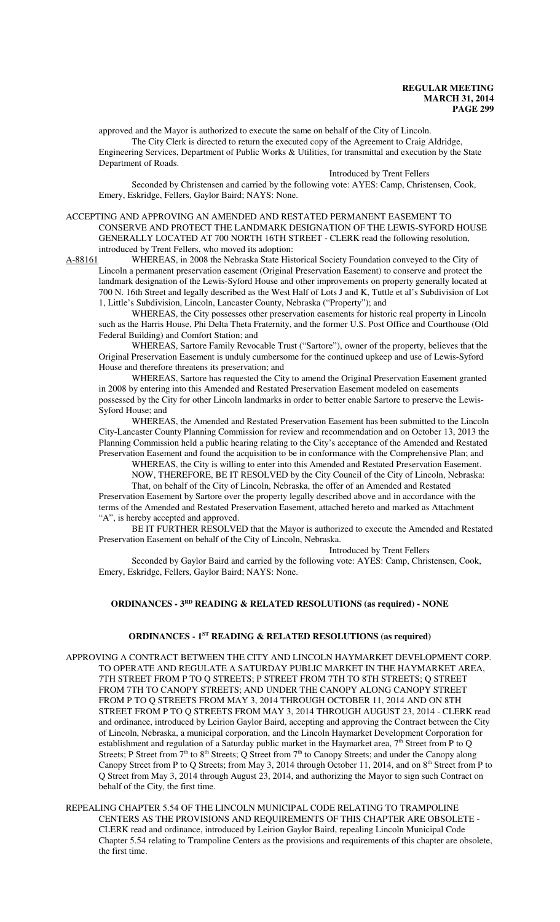approved and the Mayor is authorized to execute the same on behalf of the City of Lincoln. The City Clerk is directed to return the executed copy of the Agreement to Craig Aldridge, Engineering Services, Department of Public Works & Utilities, for transmittal and execution by the State Department of Roads.

Introduced by Trent Fellers

Seconded by Christensen and carried by the following vote: AYES: Camp, Christensen, Cook, Emery, Eskridge, Fellers, Gaylor Baird; NAYS: None.

## ACCEPTING AND APPROVING AN AMENDED AND RESTATED PERMANENT EASEMENT TO CONSERVE AND PROTECT THE LANDMARK DESIGNATION OF THE LEWIS-SYFORD HOUSE GENERALLY LOCATED AT 700 NORTH 16TH STREET - CLERK read the following resolution, introduced by Trent Fellers, who moved its adoption:<br>A-88161 WHEREAS, in 2008 the Nebraska State Hist

WHEREAS, in 2008 the Nebraska State Historical Society Foundation conveyed to the City of Lincoln a permanent preservation easement (Original Preservation Easement) to conserve and protect the landmark designation of the Lewis-Syford House and other improvements on property generally located at 700 N. 16th Street and legally described as the West Half of Lots J and K, Tuttle et al's Subdivision of Lot 1, Little's Subdivision, Lincoln, Lancaster County, Nebraska ("Property"); and

WHEREAS, the City possesses other preservation easements for historic real property in Lincoln such as the Harris House, Phi Delta Theta Fraternity, and the former U.S. Post Office and Courthouse (Old Federal Building) and Comfort Station; and

WHEREAS, Sartore Family Revocable Trust ("Sartore"), owner of the property, believes that the Original Preservation Easement is unduly cumbersome for the continued upkeep and use of Lewis-Syford House and therefore threatens its preservation; and

WHEREAS, Sartore has requested the City to amend the Original Preservation Easement granted in 2008 by entering into this Amended and Restated Preservation Easement modeled on easements possessed by the City for other Lincoln landmarks in order to better enable Sartore to preserve the Lewis-Syford House; and

WHEREAS, the Amended and Restated Preservation Easement has been submitted to the Lincoln City-Lancaster County Planning Commission for review and recommendation and on October 13, 2013 the Planning Commission held a public hearing relating to the City's acceptance of the Amended and Restated Preservation Easement and found the acquisition to be in conformance with the Comprehensive Plan; and

WHEREAS, the City is willing to enter into this Amended and Restated Preservation Easement. NOW, THEREFORE, BE IT RESOLVED by the City Council of the City of Lincoln, Nebraska:

That, on behalf of the City of Lincoln, Nebraska, the offer of an Amended and Restated Preservation Easement by Sartore over the property legally described above and in accordance with the terms of the Amended and Restated Preservation Easement, attached hereto and marked as Attachment "A", is hereby accepted and approved.

BE IT FURTHER RESOLVED that the Mayor is authorized to execute the Amended and Restated Preservation Easement on behalf of the City of Lincoln, Nebraska.

Introduced by Trent Fellers

Seconded by Gaylor Baird and carried by the following vote: AYES: Camp, Christensen, Cook, Emery, Eskridge, Fellers, Gaylor Baird; NAYS: None.

## **ORDINANCES - 3RD READING & RELATED RESOLUTIONS (as required) - NONE**

#### **ORDINANCES - 1ST READING & RELATED RESOLUTIONS (as required)**

APPROVING A CONTRACT BETWEEN THE CITY AND LINCOLN HAYMARKET DEVELOPMENT CORP. TO OPERATE AND REGULATE A SATURDAY PUBLIC MARKET IN THE HAYMARKET AREA, 7TH STREET FROM P TO Q STREETS; P STREET FROM 7TH TO 8TH STREETS; Q STREET FROM 7TH TO CANOPY STREETS; AND UNDER THE CANOPY ALONG CANOPY STREET FROM P TO Q STREETS FROM MAY 3, 2014 THROUGH OCTOBER 11, 2014 AND ON 8TH STREET FROM P TO Q STREETS FROM MAY 3, 2014 THROUGH AUGUST 23, 2014 - CLERK read and ordinance, introduced by Leirion Gaylor Baird, accepting and approving the Contract between the City of Lincoln, Nebraska, a municipal corporation, and the Lincoln Haymarket Development Corporation for establishment and regulation of a Saturday public market in the Haymarket area,  $7<sup>th</sup>$  Street from P to Q Streets; P Street from 7<sup>th</sup> to 8<sup>th</sup> Streets; Q Street from 7<sup>th</sup> to Canopy Streets; and under the Canopy along Canopy Street from P to Q Streets; from May 3, 2014 through October 11, 2014, and on 8<sup>th</sup> Street from P to Q Street from May 3, 2014 through August 23, 2014, and authorizing the Mayor to sign such Contract on behalf of the City, the first time.

REPEALING CHAPTER 5.54 OF THE LINCOLN MUNICIPAL CODE RELATING TO TRAMPOLINE CENTERS AS THE PROVISIONS AND REQUIREMENTS OF THIS CHAPTER ARE OBSOLETE - CLERK read and ordinance, introduced by Leirion Gaylor Baird, repealing Lincoln Municipal Code Chapter 5.54 relating to Trampoline Centers as the provisions and requirements of this chapter are obsolete, the first time.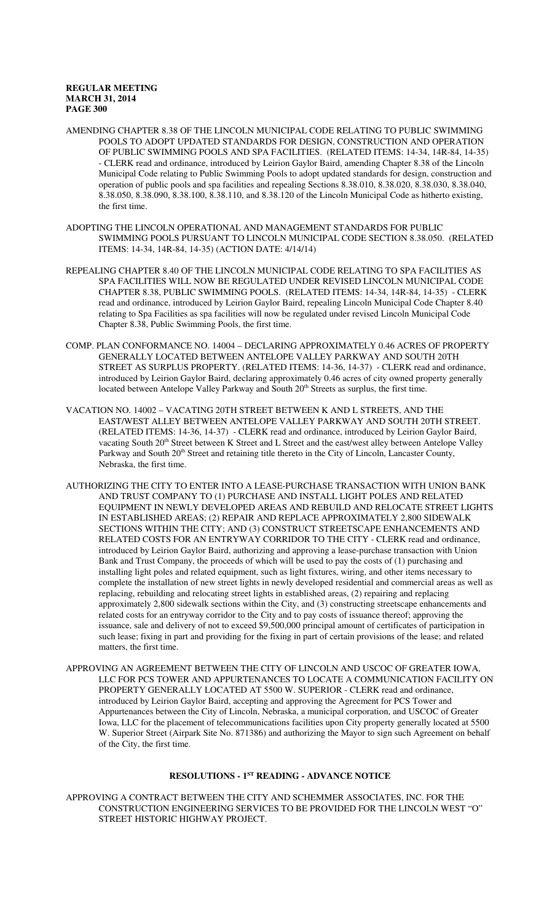- AMENDING CHAPTER 8.38 OF THE LINCOLN MUNICIPAL CODE RELATING TO PUBLIC SWIMMING POOLS TO ADOPT UPDATED STANDARDS FOR DESIGN, CONSTRUCTION AND OPERATION OF PUBLIC SWIMMING POOLS AND SPA FACILITIES. (RELATED ITEMS: 14-34, 14R-84, 14-35) - CLERK read and ordinance, introduced by Leirion Gaylor Baird, amending Chapter 8.38 of the Lincoln Municipal Code relating to Public Swimming Pools to adopt updated standards for design, construction and operation of public pools and spa facilities and repealing Sections 8.38.010, 8.38.020, 8.38.030, 8.38.040, 8.38.050, 8.38.090, 8.38.100, 8.38.110, and 8.38.120 of the Lincoln Municipal Code as hitherto existing, the first time.
- ADOPTING THE LINCOLN OPERATIONAL AND MANAGEMENT STANDARDS FOR PUBLIC SWIMMING POOLS PURSUANT TO LINCOLN MUNICIPAL CODE SECTION 8.38.050. (RELATED ITEMS: 14-34, 14R-84, 14-35) (ACTION DATE: 4/14/14)
- REPEALING CHAPTER 8.40 OF THE LINCOLN MUNICIPAL CODE RELATING TO SPA FACILITIES AS SPA FACILITIES WILL NOW BE REGULATED UNDER REVISED LINCOLN MUNICIPAL CODE CHAPTER 8.38, PUBLIC SWIMMING POOLS. (RELATED ITEMS: 14-34, 14R-84, 14-35) - CLERK read and ordinance, introduced by Leirion Gaylor Baird, repealing Lincoln Municipal Code Chapter 8.40 relating to Spa Facilities as spa facilities will now be regulated under revised Lincoln Municipal Code Chapter 8.38, Public Swimming Pools, the first time.
- COMP. PLAN CONFORMANCE NO. 14004 DECLARING APPROXIMATELY 0.46 ACRES OF PROPERTY GENERALLY LOCATED BETWEEN ANTELOPE VALLEY PARKWAY AND SOUTH 20TH STREET AS SURPLUS PROPERTY. (RELATED ITEMS: 14-36, 14-37) - CLERK read and ordinance, introduced by Leirion Gaylor Baird, declaring approximately 0.46 acres of city owned property generally located between Antelope Valley Parkway and South 20<sup>th</sup> Streets as surplus, the first time.
- VACATION NO. 14002 VACATING 20TH STREET BETWEEN K AND L STREETS, AND THE EAST/WEST ALLEY BETWEEN ANTELOPE VALLEY PARKWAY AND SOUTH 20TH STREET. (RELATED ITEMS: 14-36, 14-37) - CLERK read and ordinance, introduced by Leirion Gaylor Baird, vacating South 20<sup>th</sup> Street between K Street and L Street and the east/west alley between Antelope Valley Parkway and South 20<sup>th</sup> Street and retaining title thereto in the City of Lincoln, Lancaster County, Nebraska, the first time.
- AUTHORIZING THE CITY TO ENTER INTO A LEASE-PURCHASE TRANSACTION WITH UNION BANK AND TRUST COMPANY TO (1) PURCHASE AND INSTALL LIGHT POLES AND RELATED EQUIPMENT IN NEWLY DEVELOPED AREAS AND REBUILD AND RELOCATE STREET LIGHTS IN ESTABLISHED AREAS; (2) REPAIR AND REPLACE APPROXIMATELY 2,800 SIDEWALK SECTIONS WITHIN THE CITY; AND (3) CONSTRUCT STREETSCAPE ENHANCEMENTS AND RELATED COSTS FOR AN ENTRYWAY CORRIDOR TO THE CITY - CLERK read and ordinance, introduced by Leirion Gaylor Baird, authorizing and approving a lease-purchase transaction with Union Bank and Trust Company, the proceeds of which will be used to pay the costs of (1) purchasing and installing light poles and related equipment, such as light fixtures, wiring, and other items necessary to complete the installation of new street lights in newly developed residential and commercial areas as well as replacing, rebuilding and relocating street lights in established areas, (2) repairing and replacing approximately 2,800 sidewalk sections within the City, and (3) constructing streetscape enhancements and related costs for an entryway corridor to the City and to pay costs of issuance thereof; approving the issuance, sale and delivery of not to exceed \$9,500,000 principal amount of certificates of participation in such lease; fixing in part and providing for the fixing in part of certain provisions of the lease; and related matters, the first time.
- APPROVING AN AGREEMENT BETWEEN THE CITY OF LINCOLN AND USCOC OF GREATER IOWA, LLC FOR PCS TOWER AND APPURTENANCES TO LOCATE A COMMUNICATION FACILITY ON PROPERTY GENERALLY LOCATED AT 5500 W. SUPERIOR - CLERK read and ordinance, introduced by Leirion Gaylor Baird, accepting and approving the Agreement for PCS Tower and Appurtenances between the City of Lincoln, Nebraska, a municipal corporation, and USCOC of Greater Iowa, LLC for the placement of telecommunications facilities upon City property generally located at 5500 W. Superior Street (Airpark Site No. 871386) and authorizing the Mayor to sign such Agreement on behalf of the City, the first time.

### **RESOLUTIONS - 1ST READING - ADVANCE NOTICE**

APPROVING A CONTRACT BETWEEN THE CITY AND SCHEMMER ASSOCIATES, INC. FOR THE CONSTRUCTION ENGINEERING SERVICES TO BE PROVIDED FOR THE LINCOLN WEST "O" STREET HISTORIC HIGHWAY PROJECT.